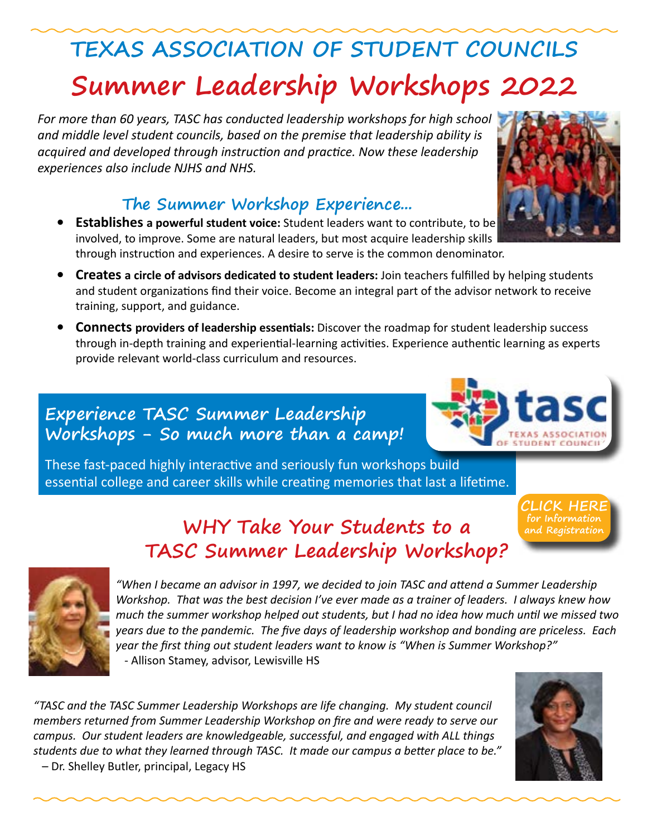# **Summer Leadership Workshops 2022 TEXAS ASSOCIATION OF STUDENT COUNCILS**

*For more than 60 years, TASC has conducted leadership workshops for high school and middle level student councils, based on the premise that leadership ability is acquired and developed through instruction and practice. Now these leadership experiences also include NJHS and NHS.* 

### **The Summer Workshop Experience...**

- **• Establishes a powerful student voice:** Student leaders want to contribute, to be involved, to improve. Some are natural leaders, but most acquire leadership skills through instruction and experiences. A desire to serve is the common denominator.
- **• Creates a circle of advisors dedicated to student leaders:** Join teachers fulfilled by helping students and student organizations find their voice. Become an integral part of the advisor network to receive training, support, and guidance.
- **• Connects providers of leadership essentials:** Discover the roadmap for student leadership success through in-depth training and experiential-learning activities. Experience authentic learning as experts provide relevant world-class curriculum and resources.

### **Experience TASC Summer Leadership Workshops - So much more than a camp!**

These fast-paced highly interactive and seriously fun workshops build essential college and career skills while creating memories that last a lifetime.

### **WHY Take Your Students to a TASC Summer Leadership Workshop?**



*"When I became an advisor in 1997, we decided to join TASC and attend a Summer Leadership Workshop. That was the best decision I've ever made as a trainer of leaders. I always knew how much the summer workshop helped out students, but I had no idea how much until we missed two years due to the pandemic. The five days of leadership workshop and bonding are priceless. Each year the first thing out student leaders want to know is "When is Summer Workshop?"* - Allison Stamey, advisor, Lewisville HS

*"TASC and the TASC Summer Leadership Workshops are life changing. My student council members returned from Summer Leadership Workshop on fire and were ready to serve our campus. Our student leaders are knowledgeable, successful, and engaged with ALL things students due to what they learned through TASC. It made our campus a better place to be."* – Dr. Shelley Butler, principal, Legacy HS



**[CLICK HERE](https://tasc.memberclicks.net/summer-leadership-workshops) for Information and Registration**



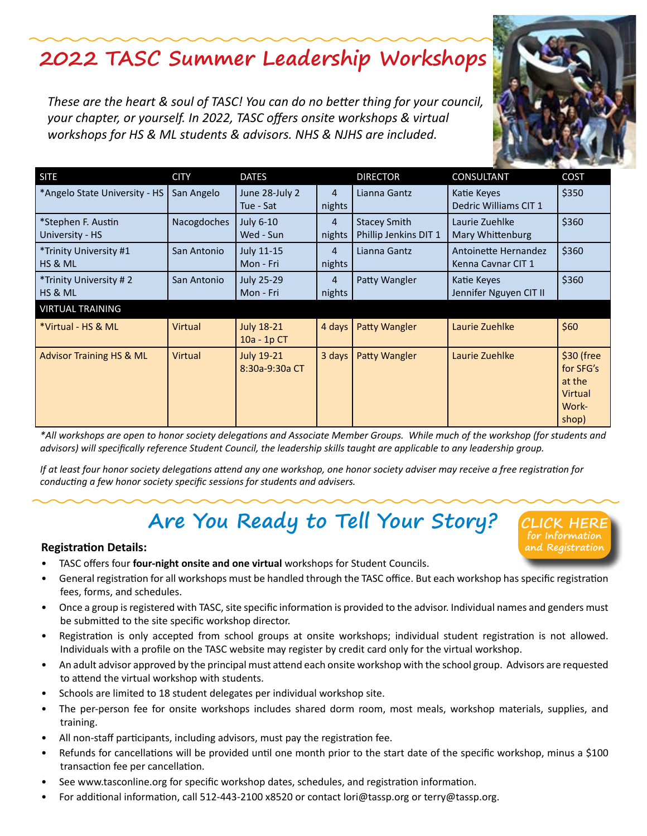## **2022 TASC Summer Leadership Workshops**

*These are the heart & soul of TASC! You can do no better thing for your council, your chapter, or yourself. In 2022, TASC offers onsite workshops & virtual workshops for HS & ML students & advisors. NHS & NJHS are included.*

| <b>SITE</b>                           | <b>CITY</b> | <b>DATES</b>                        |                          | <b>DIRECTOR</b>                              | CONSULTANT                                 | <b>COST</b>                                                    |
|---------------------------------------|-------------|-------------------------------------|--------------------------|----------------------------------------------|--------------------------------------------|----------------------------------------------------------------|
| *Angelo State University - HS         | San Angelo  | June 28-July 2<br>Tue - Sat         | $\overline{4}$<br>nights | Lianna Gantz                                 | Katie Keyes<br>Dedric Williams CIT 1       | \$350                                                          |
| *Stephen F. Austin<br>University - HS | Nacogdoches | <b>July 6-10</b><br>Wed - Sun       | 4<br>nights              | <b>Stacey Smith</b><br>Phillip Jenkins DIT 1 | Laurie Zuehlke<br>Mary Whittenburg         | \$360                                                          |
| *Trinity University #1<br>HS & ML     | San Antonio | July 11-15<br>Mon - Fri             | 4<br>nights              | Lianna Gantz                                 | Antoinette Hernandez<br>Kenna Cavnar CIT 1 | \$360                                                          |
| *Trinity University #2<br>HS & ML     | San Antonio | July 25-29<br>Mon - Fri             | 4<br>nights              | Patty Wangler                                | Katie Keyes<br>Jennifer Nguyen CIT II      | \$360                                                          |
| <b>VIRTUAL TRAINING</b>               |             |                                     |                          |                                              |                                            |                                                                |
| *Virtual - HS & ML                    | Virtual     | <b>July 18-21</b><br>$10a - 1p$ CT  | 4 days                   | Patty Wangler                                | Laurie Zuehlke                             | \$60                                                           |
| <b>Advisor Training HS &amp; ML</b>   | Virtual     | <b>July 19-21</b><br>8:30a-9:30a CT | 3 days                   | Patty Wangler                                | Laurie Zuehlke                             | \$30 (free<br>for SFG's<br>at the<br>Virtual<br>Work-<br>shop) |

*\*All workshops are open to honor society delegations and Associate Member Groups. While much of the workshop (for students and advisors) will specifically reference Student Council, the leadership skills taught are applicable to any leadership group.*

*If at least four honor society delegations attend any one workshop, one honor society adviser may receive a free registration for conducting a few honor society specific sessions for students and advisers.*

# **Are You Ready to Tell Your Story?**

#### **Registration Details:**

- TASC offers four **four-night onsite and one virtual** workshops for Student Councils.
- General registration for all workshops must be handled through the TASC office. But each workshop has specific registration fees, forms, and schedules.
- Once a group is registered with TASC, site specific information is provided to the advisor. Individual names and genders must be submitted to the site specific workshop director.
- Registration is only accepted from school groups at onsite workshops; individual student registration is not allowed. Individuals with a profile on the TASC website may register by credit card only for the virtual workshop.
- An adult advisor approved by the principal must attend each onsite workshop with the school group. Advisors are requested to attend the virtual workshop with students.
- Schools are limited to 18 student delegates per individual workshop site.
- The per-person fee for onsite workshops includes shared dorm room, most meals, workshop materials, supplies, and training.
- All non-staff participants, including advisors, must pay the registration fee.
- Refunds for cancellations will be provided until one month prior to the start date of the specific workshop, minus a \$100 transaction fee per cancellation.
- See www.tasconline.org for specific workshop dates, schedules, and registration information.
- For additional information, call 512-443-2100 x8520 or contact lori@tassp.org or terry@tassp.org.

**[CLICK HERE](https://tasc.memberclicks.net/summer-leadership-workshops) for Information and Registration**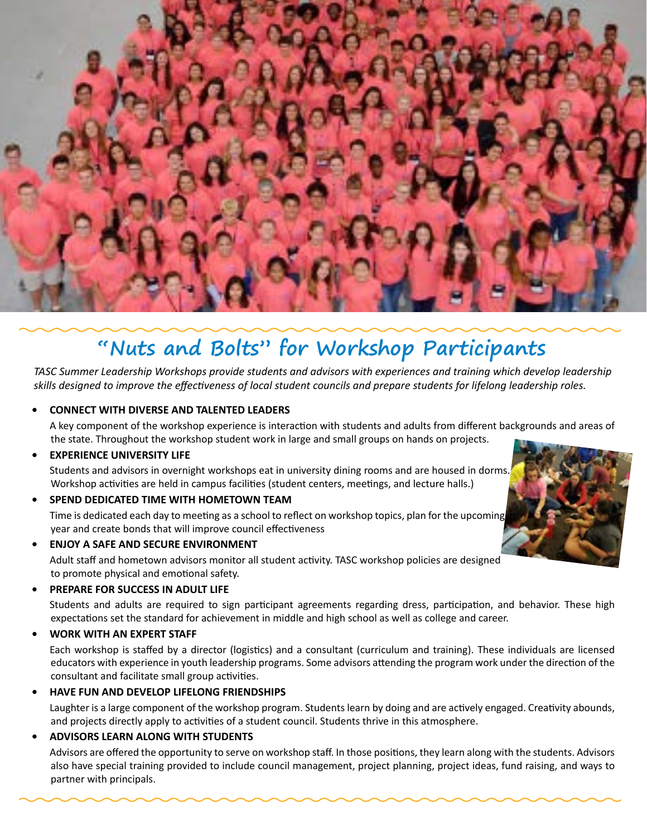

## **"Nuts and Bolts" for Workshop Participants**

*TASC Summer Leadership Workshops provide students and advisors with experiences and training which develop leadership skills designed to improve the effectiveness of local student councils and prepare students for lifelong leadership roles.*

#### **• CONNECT WITH DIVERSE AND TALENTED LEADERS**

A key component of the workshop experience is interaction with students and adults from different backgrounds and areas of the state. Throughout the workshop student work in large and small groups on hands on projects.

**• EXPERIENCE UNIVERSITY LIFE**

Students and advisors in overnight workshops eat in university dining rooms and are housed in dorms. Workshop activities are held in campus facilities (student centers, meetings, and lecture halls.)

**• SPEND DEDICATED TIME WITH HOMETOWN TEAM**

Time is dedicated each day to meeting as a school to reflect on workshop topics, plan for the upcoming year and create bonds that will improve council effectiveness

**• ENJOY A SAFE AND SECURE ENVIRONMENT**

Adult staff and hometown advisors monitor all student activity. TASC workshop policies are designed to promote physical and emotional safety.

**• PREPARE FOR SUCCESS IN ADULT LIFE**

Students and adults are required to sign participant agreements regarding dress, participation, and behavior. These high expectations set the standard for achievement in middle and high school as well as college and career.

#### **• WORK WITH AN EXPERT STAFF**

Each workshop is staffed by a director (logistics) and a consultant (curriculum and training). These individuals are licensed educators with experience in youth leadership programs. Some advisors attending the program work under the direction of the consultant and facilitate small group activities.

**• HAVE FUN AND DEVELOP LIFELONG FRIENDSHIPS**

Laughter is a large component of the workshop program. Students learn by doing and are actively engaged. Creativity abounds, and projects directly apply to activities of a student council. Students thrive in this atmosphere.

#### **• ADVISORS LEARN ALONG WITH STUDENTS**

Advisors are offered the opportunity to serve on workshop staff. In those positions, they learn along with the students. Advisors also have special training provided to include council management, project planning, project ideas, fund raising, and ways to partner with principals.